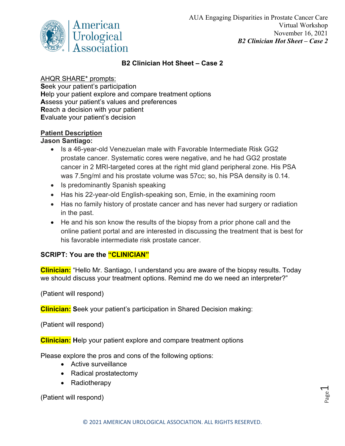

# **B2 Clinician Hot Sheet – Case 2**

## AHQR SHARE\* prompts:

**S**eek your patient's participation **H**elp your patient explore and compare treatment options **A**ssess your patient's values and preferences **R**each a decision with your patient **E**valuate your patient's decision

#### **Patient Description**

# **Jason Santiago:**

- Is a 46-year-old Venezuelan male with Favorable Intermediate Risk GG2 prostate cancer. Systematic cores were negative, and he had GG2 prostate cancer in 2 MRI-targeted cores at the right mid gland peripheral zone. His PSA was 7.5ng/ml and his prostate volume was 57cc; so, his PSA density is 0.14.
- Is predominantly Spanish speaking
- Has his 22-year-old English-speaking son, Ernie, in the examining room
- Has no family history of prostate cancer and has never had surgery or radiation in the past.
- He and his son know the results of the biopsy from a prior phone call and the online patient portal and are interested in discussing the treatment that is best for his favorable intermediate risk prostate cancer.

#### **SCRIPT: You are the "CLINICIAN"**

**Clinician:** "Hello Mr. Santiago, I understand you are aware of the biopsy results. Today we should discuss your treatment options. Remind me do we need an interpreter?"

(Patient will respond)

**Clinician: S**eek your patient's participation in Shared Decision making:

(Patient will respond)

**Clinician: H**elp your patient explore and compare treatment options

Please explore the pros and cons of the following options:

- Active surveillance
- Radical prostatectomy
- Radiotherapy

(Patient will respond)